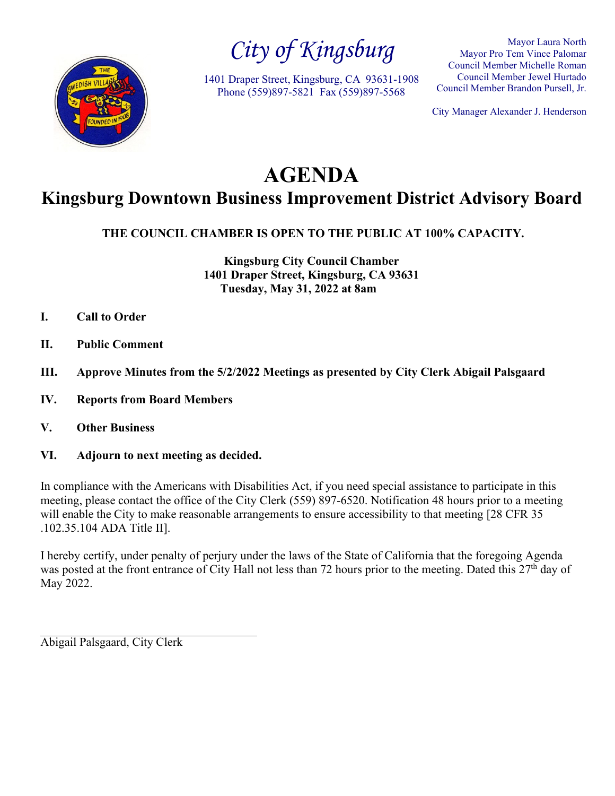

*City of Kingsburg*

1401 Draper Street, Kingsburg, CA 93631-1908 Phone (559)897-5821 Fax (559)897-5568

Mayor Laura North Mayor Pro Tem Vince Palomar Council Member Michelle Roman Council Member Jewel Hurtado Council Member Brandon Pursell, Jr.

City Manager Alexander J. Henderson

# **AGENDA**

## **Kingsburg Downtown Business Improvement District Advisory Board**

**THE COUNCIL CHAMBER IS OPEN TO THE PUBLIC AT 100% CAPACITY.**

**Kingsburg City Council Chamber 1401 Draper Street, Kingsburg, CA 93631 Tuesday, May 31, 2022 at 8am**

- **I. Call to Order**
- **II. Public Comment**
- **III. Approve Minutes from the 5/2/2022 Meetings as presented by City Clerk Abigail Palsgaard**
- **IV. Reports from Board Members**
- **V. Other Business**
- **VI. Adjourn to next meeting as decided.**

In compliance with the Americans with Disabilities Act, if you need special assistance to participate in this meeting, please contact the office of the City Clerk (559) 897-6520. Notification 48 hours prior to a meeting will enable the City to make reasonable arrangements to ensure accessibility to that meeting [28 CFR 35] .102.35.104 ADA Title II].

I hereby certify, under penalty of perjury under the laws of the State of California that the foregoing Agenda was posted at the front entrance of City Hall not less than 72 hours prior to the meeting. Dated this  $27<sup>th</sup>$  day of May 2022.

Abigail Palsgaard, City Clerk